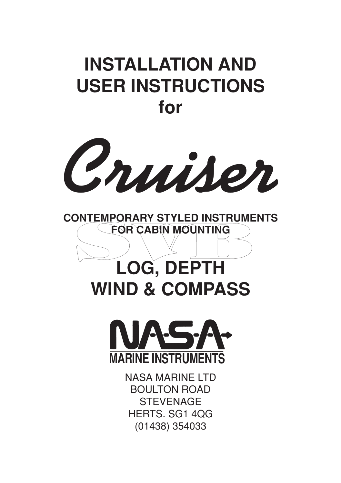# **INSTALLATION AND USER INSTRUCTIONS for**





# **LOG, DEPTH WIND & COMPASS**



NASA MARINE LTD BOULTON ROAD **STEVENAGE** HERTS. SG1 4QG (01438) 354033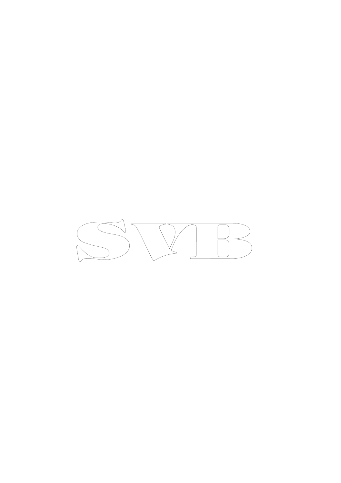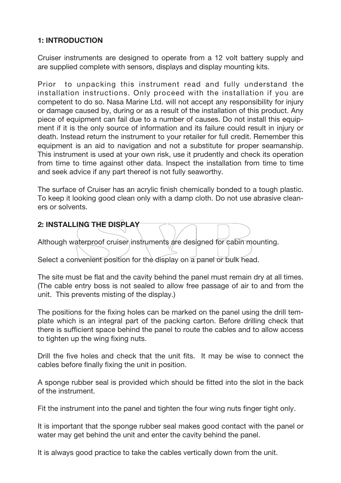## **1: INTRODUCTION**

Cruiser instruments are designed to operate from a 12 volt battery supply and are supplied complete with sensors, displays and display mounting kits.

Prior to unpacking this instrument read and fully understand the installation instructions. Only proceed with the installation if you are competent to do so. Nasa Marine Ltd. will not accept any responsibility for injury or damage caused by, during or as a result of the installation of this product. Any piece of equipment can fail due to a number of causes. Do not install this equipment if it is the only source of information and its failure could result in injury or death. Instead return the instrument to your retailer for full credit. Remember this equipment is an aid to navigation and not a substitute for proper seamanship. This instrument is used at your own risk, use it prudently and check its operation from time to time against other data. Inspect the installation from time to time and seek advice if any part thereof is not fully seaworthy.

The surface of Cruiser has an acrylic finish chemically bonded to a tough plastic. To keep it looking good clean only with a damp cloth. Do not use abrasive cleaners or solvents.

**2: INSTALLING THE DISPL** Although waterproof cruiser instruments are designed for cabin mounting. Select a convenient position for the display on  $\overline{a}$  panel or bulk head.

The site must be flat and the cavity behind the panel must remain dry at all times. (The cable entry boss is not sealed to allow free passage of air to and from the unit. This prevents misting of the display.)

The positions for the fixing holes can be marked on the panel using the drill template which is an integral part of the packing carton. Before drilling check that there is sufficient space behind the panel to route the cables and to allow access to tighten up the wing fixing nuts.

Drill the five holes and check that the unit fits. It may be wise to connect the cables before finally fixing the unit in position.

A sponge rubber seal is provided which should be fitted into the slot in the back of the instrument.

Fit the instrument into the panel and tighten the four wing nuts finger tight only.

It is important that the sponge rubber seal makes good contact with the panel or water may get behind the unit and enter the cavity behind the panel.

It is always good practice to take the cables vertically down from the unit.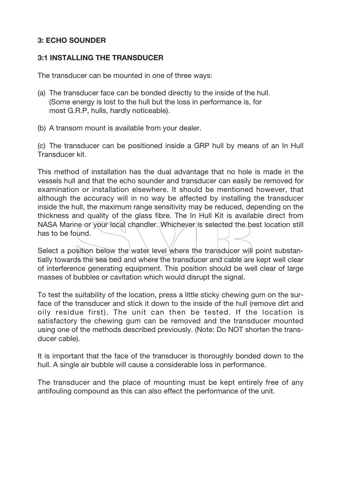## **3: ECHO SOUNDER**

## **3:1 INSTALLING THE TRANSDUCER**

The transducer can be mounted in one of three ways:

- (a) The transducer face can be bonded directly to the inside of the hull. (Some energy is lost to the hull but the loss in performance is, for most G.R.P, hulls, hardly noticeable).
- (b) A transom mount is available from your dealer.

(c) The transducer can be positioned inside a GRP hull by means of an In Hull Transducer kit.

This method of installation has the dual advantage that no hole is made in the vessels hull and that the echo sounder and transducer can easily be removed for examination or installation elsewhere. It should be mentioned however, that although the accuracy will in no way be affected by installing the transducer inside the hull, the maximum range sensitivity may be reduced, depending on the thickness and quality of the glass fibre. The In Hull Kit is available direct from NASA Marine or your local chandler. Whichever is selected the best location still has to be found.

Select a position below the water level where the transducer will point substantially towards the sea bed and where the transducer and cable are kept well clear of interference generating equipment. This position should be well clear of large masses of bubbles or cavitation which would disrupt the signal.

To test the suitability of the location, press a little sticky chewing gum on the surface of the transducer and stick it down to the inside of the hull (remove dirt and oily residue first). The unit can then be tested. If the location is satisfactory the chewing gum can be removed and the transducer mounted using one of the methods described previously. (Note: Do NOT shorten the transducer cable).

It is important that the face of the transducer is thoroughly bonded down to the hull. A single air bubble will cause a considerable loss in performance.

The transducer and the place of mounting must be kept entirely free of any antifouling compound as this can also effect the performance of the unit.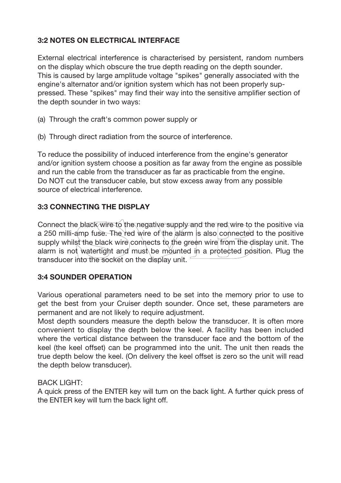# **3:2 NOTES ON ELECTRICAL INTERFACE**

External electrical interference is characterised by persistent, random numbers on the display which obscure the true depth reading on the depth sounder. This is caused by large amplitude voltage "spikes" generally associated with the engine's alternator and/or ignition system which has not been properly suppressed. These "spikes" may find their way into the sensitive amplifier section of the depth sounder in two ways:

- (a) Through the craft's common power supply or
- (b) Through direct radiation from the source of interference.

To reduce the possibility of induced interference from the engine's generator and/or ignition system choose a position as far away from the engine as possible and run the cable from the transducer as far as practicable from the engine. Do NOT cut the transducer cable, but stow excess away from any possible source of electrical interference.

# **3:3 CONNECTING THE DISPLAY**

Connect the black wire to the negative supply and the red wire to the positive via a 250 milli-amp fuse. The red wire of the alarm is also connected to the positive supply whilst the black wire connects to the green wire from the display unit. The alarm is not watertight and must be mounted in a protected position. Plug the transducer into the socket on the display unit.

## **3:4 SOUNDER OPERATION**

Various operational parameters need to be set into the memory prior to use to get the best from your Cruiser depth sounder. Once set, these parameters are permanent and are not likely to require adjustment.

Most depth sounders measure the depth below the transducer. It is often more convenient to display the depth below the keel. A facility has been included where the vertical distance between the transducer face and the bottom of the keel (the keel offset) can be programmed into the unit. The unit then reads the true depth below the keel. (On delivery the keel offset is zero so the unit will read the depth below transducer).

#### **BACK LIGHT:**

A quick press of the ENTER key will turn on the back light. A further quick press of the ENTER key will turn the back light off.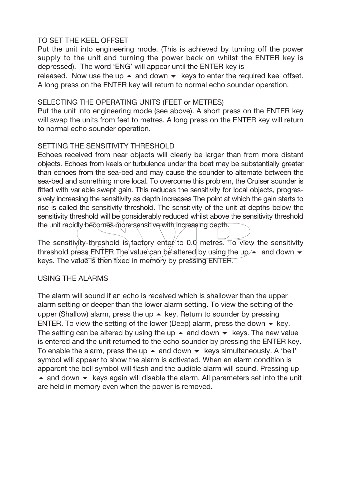# TO SET THE KEEL OFFSET

Put the unit into engineering mode. (This is achieved by turning off the power supply to the unit and turning the power back on whilst the ENTER key is depressed). The word 'ENG' will appear until the ENTER key is

released. Now use the up  $\blacktriangle$  and down  $\blacktriangledown$  keys to enter the required keel offset. A long press on the ENTER key will return to normal echo sounder operation.

#### SELECTING THE OPERATING UNITS (FEET or METRES)

Put the unit into engineering mode (see above). A short press on the ENTER key will swap the units from feet to metres. A long press on the ENTER key will return to normal echo sounder operation.

## SETTING THE SENSITIVITY THRESHOLD

Echoes received from near objects will clearly be larger than from more distant objects. Echoes from keels or turbulence under the boat may be substantially greater than echoes from the sea-bed and may cause the sounder to alternate between the sea-bed and something more local. To overcome this problem, the Cruiser sounder is fitted with variable swept gain. This reduces the sensitivity for local objects, progressively increasing the sensitivity as depth increases The point at which the gain starts to rise is called the sensitivity threshold. The sensitivity of the unit at depths below the sensitivity threshold will be considerably reduced whilst above the sensitivity threshold the unit rapidly becomes more sensitive with increasing depth.

The sensitivity threshold is factory enter to 0.0 metres. To view the sensitivity threshold press ENTER The value can be altered by using the up  $\blacktriangle$  and down  $\blacktriangledown$ keys. The value is then fixed in memory by pressing ENTER.

# USING THE ALARMS

The alarm will sound if an echo is received which is shallower than the upper alarm setting or deeper than the lower alarm setting. To view the setting of the upper (Shallow) alarm, press the up ▲ key. Return to sounder by pressing ENTER. To view the setting of the lower (Deep) alarm, press the down  $\bullet$  key. The setting can be altered by using the up  $\blacktriangle$  and down  $\blacktriangledown$  keys. The new value is entered and the unit returned to the echo sounder by pressing the ENTER key. To enable the alarm, press the up  $\blacktriangle$  and down  $\blacktriangledown$  keys simultaneously. A 'bell' symbol will appear to show the alarm is activated. When an alarm condition is apparent the bell symbol will flash and the audible alarm will sound. Pressing up ▲ and down • keys again will disable the alarm. All parameters set into the unit are held in memory even when the power is removed.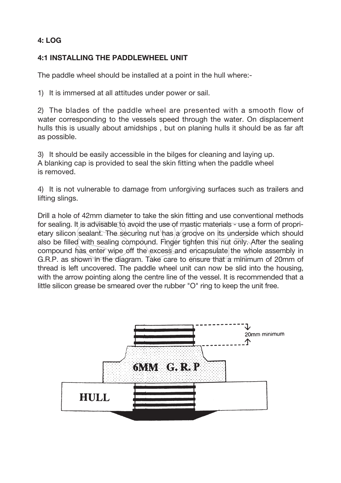# **4: LOG**

# **4:1 INSTALLING THE PADDLEWHEEL UNIT**

The paddle wheel should be installed at a point in the hull where:-

1) It is immersed at all attitudes under power or sail.

2) The blades of the paddle wheel are presented with a smooth flow of water corresponding to the vessels speed through the water. On displacement hulls this is usually about amidships , but on planing hulls it should be as far aft as possible.

3) It should be easily accessible in the bilges for cleaning and laying up. A blanking cap is provided to seal the skin fitting when the paddle wheel is removed.

4) It is not vulnerable to damage from unforgiving surfaces such as trailers and lifting slings.

Drill a hole of 42mm diameter to take the skin fitting and use conventional methods for sealing. It is advisable to avoid the use of mastic materials - use a form of proprietary silicon sealant. The securing nut has a groove on its underside which should also be filled with sealing compound. Finger tighten this nut only. After the sealing compound has enter wipe off the excess and encapsulate the whole assembly in G.R.P. as shown in the diagram. Take care to ensure that a minimum of 20mm of thread is left uncovered. The paddle wheel unit can now be slid into the housing, with the arrow pointing along the centre line of the vessel. It is recommended that a little silicon grease be smeared over the rubber "O" ring to keep the unit free.

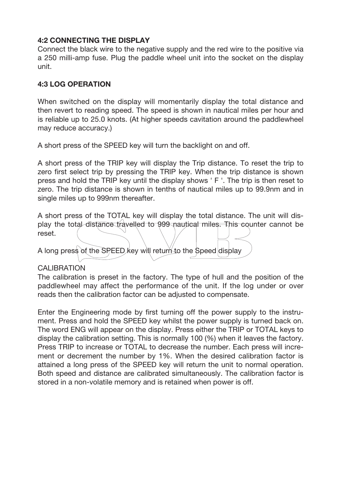## **4:2 CONNECTING THE DISPLAY**

Connect the black wire to the negative supply and the red wire to the positive via a 250 milli-amp fuse. Plug the paddle wheel unit into the socket on the display unit.

# **4:3 LOG OPERATION**

When switched on the display will momentarily display the total distance and then revert to reading speed. The speed is shown in nautical miles per hour and is reliable up to 25.0 knots. (At higher speeds cavitation around the paddlewheel may reduce accuracy.)

A short press of the SPEED key will turn the backlight on and off.

A short press of the TRIP key will display the Trip distance. To reset the trip to zero first select trip by pressing the TRIP key. When the trip distance is shown press and hold the TRIP key until the display shows ' F '. The trip is then reset to zero. The trip distance is shown in tenths of nautical miles up to 99.9nm and in single miles up to 999nm thereafter.

A short press of the TOTAL key will display the total distance. The unit will display the total distance travelled to 999 nautical miles. This counter cannot be reset. A long press of the SPEED key will return to the Speed display

## CALIBRATION

The calibration is preset in the factory. The type of hull and the position of the paddlewheel may affect the performance of the unit. If the log under or over reads then the calibration factor can be adjusted to compensate.

Enter the Engineering mode by first turning off the power supply to the instrument. Press and hold the SPEED key whilst the power supply is turned back on. The word ENG will appear on the display. Press either the TRIP or TOTAL keys to display the calibration setting. This is normally 100 (%) when it leaves the factory. Press TRIP to increase or TOTAL to decrease the number. Each press will increment or decrement the number by 1%. When the desired calibration factor is attained a long press of the SPEED key will return the unit to normal operation. Both speed and distance are calibrated simultaneously. The calibration factor is stored in a non-volatile memory and is retained when power is off.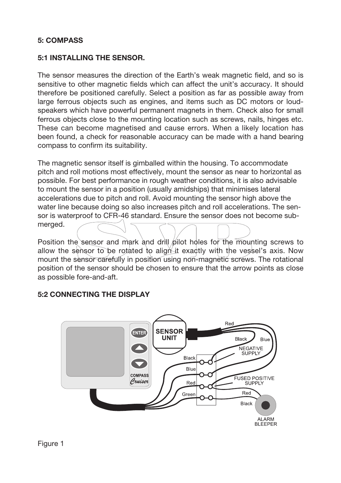## **5: COMPASS**

#### **5:1 INSTALLING THE SENSOR.**

The sensor measures the direction of the Earth's weak magnetic field, and so is sensitive to other magnetic fields which can affect the unit's accuracy. It should therefore be positioned carefully. Select a position as far as possible away from large ferrous objects such as engines, and items such as DC motors or loudspeakers which have powerful permanent magnets in them. Check also for small ferrous objects close to the mounting location such as screws, nails, hinges etc. These can become magnetised and cause errors. When a likely location has been found, a check for reasonable accuracy can be made with a hand bearing compass to confirm its suitability.

The magnetic sensor itself is gimballed within the housing. To accommodate pitch and roll motions most effectively, mount the sensor as near to horizontal as possible. For best performance in rough weather conditions, it is also advisable to mount the sensor in a position (usually amidships) that minimises lateral accelerations due to pitch and roll. Avoid mounting the sensor high above the water line because doing so also increases pitch and roll accelerations. The sensor is waterproof to CFR-46 standard. Ensure the sensor does not become submerged.

Position the sensor and mark and drill pilot holes for the mounting screws to allow the sensor to be rotated to align it exactly with the vessel's axis. Now mount the sensor carefully in position using non-magnetic screws. The rotational position of the sensor should be chosen to ensure that the arrow points as close as possible fore-and-aft.

## **5:2 CONNECTING THE DISPLAY**

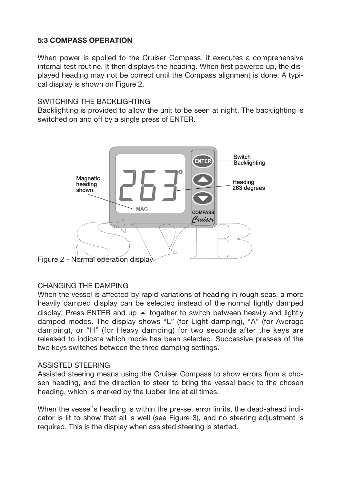# **5:3 COMPASS OPERATION**

When power is applied to the Cruiser Compass, it executes a comprehensive internal test routine. It then displays the heading. When first powered up, the displayed heading may not be correct until the Compass alignment is done. A typical display is shown on Figure 2.

#### SWITCHING THE BACKLIGHTING

Backlighting is provided to allow the unit to be seen at night. The backlighting is switched on and off by a single press of ENTER.



Figure 2 - Normal operation display

## CHANGING THE DAMPING

When the vessel is affected by rapid variations of heading in rough seas, a more heavily damped display can be selected instead of the normal lightly damped display. Press ENTER and up  $\blacktriangle$  together to switch between heavily and lightly damped modes. The display shows "L" (for Light damping), "A" (for Average damping), or "H" (for Heavy damping) for two seconds after the keys are released to indicate which mode has been selected. Successive presses of the two keys switches between the three damping settings.

#### ASSISTED STEERING

Assisted steering means using the Cruiser Compass to show errors from a chosen heading, and the direction to steer to bring the vessel back to the chosen heading, which is marked by the lubber line at all times.

When the vessel's heading is within the pre-set error limits, the dead-ahead indicator is lit to show that all is well (see Figure 3), and no steering adjustment is required. This is the display when assisted steering is started.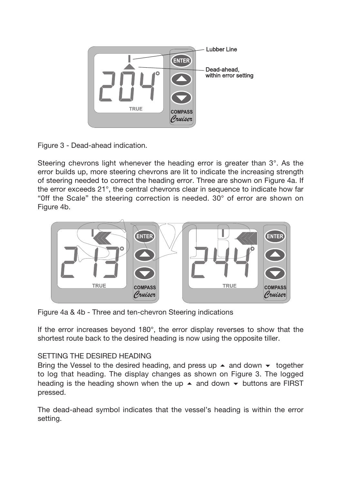

Figure 3 - Dead-ahead indication.

Steering chevrons light whenever the heading error is greater than 3°. As the error builds up, more steering chevrons are lit to indicate the increasing strength of steering needed to correct the heading error. Three are shown on Figure 4a. If the error exceeds 21°, the central chevrons clear in sequence to indicate how far "Off the Scale" the steering correction is needed.  $30^{\circ}$  of error are shown on Figure 4b.



Figure 4a & 4b - Three and ten-chevron Steering indications

If the error increases beyond 180°, the error display reverses to show that the shortest route back to the desired heading is now using the opposite tiller.

# SETTING THE DESIRED HEADING

Bring the Vessel to the desired heading, and press up  $\blacktriangle$  and down  $\blacktriangledown$  together to log that heading. The display changes as shown on Figure 3. The logged heading is the heading shown when the up  $\blacktriangle$  and down  $\blacktriangledown$  buttons are FIRST pressed.

The dead-ahead symbol indicates that the vessel's heading is within the error setting.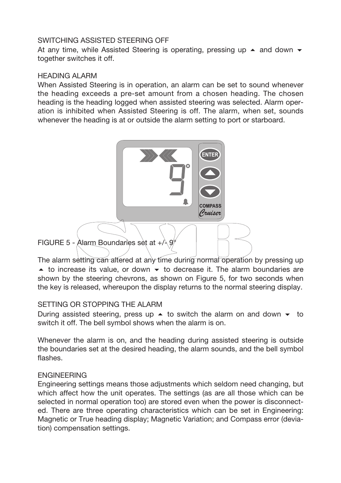#### SWITCHING ASSISTED STEERING OFF

At any time, while Assisted Steering is operating, pressing up  $\blacktriangle$  and down  $\blacktriangledown$ together switches it off.

#### HEADING ALARM

When Assisted Steering is in operation, an alarm can be set to sound whenever the heading exceeds a pre-set amount from a chosen heading. The chosen heading is the heading logged when assisted steering was selected. Alarm operation is inhibited when Assisted Steering is off. The alarm, when set, sounds whenever the heading is at or outside the alarm setting to port or starboard.



The alarm setting can altered at any time during normal operation by pressing up • to increase its value, or down • to decrease it. The alarm boundaries are shown by the steering chevrons, as shown on Figure 5, for two seconds when the key is released, whereupon the display returns to the normal steering display.

#### SETTING OR STOPPING THE ALARM

During assisted steering, press up  $\blacktriangle$  to switch the alarm on and down  $\blacktriangledown$  to switch it off. The bell symbol shows when the alarm is on.

Whenever the alarm is on, and the heading during assisted steering is outside the boundaries set at the desired heading, the alarm sounds, and the bell symbol flashes.

## ENGINEERING

Engineering settings means those adjustments which seldom need changing, but which affect how the unit operates. The settings (as are all those which can be selected in normal operation too) are stored even when the power is disconnected. There are three operating characteristics which can be set in Engineering: Magnetic or True heading display; Magnetic Variation; and Compass error (deviation) compensation settings.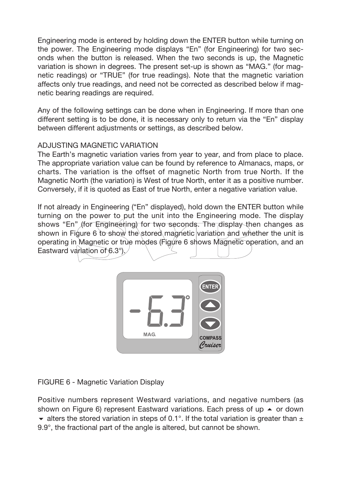Engineering mode is entered by holding down the ENTER button while turning on the power. The Engineering mode displays "En" (for Engineering) for two seconds when the button is released. When the two seconds is up, the Magnetic variation is shown in degrees. The present set-up is shown as "MAG." (for magnetic readings) or "TRUE" (for true readings). Note that the magnetic variation affects only true readings, and need not be corrected as described below if magnetic bearing readings are required.

Any of the following settings can be done when in Engineering. If more than one different setting is to be done, it is necessary only to return via the "En" display between different adjustments or settings, as described below.

# ADJUSTING MAGNETIC VARIATION

The Earth's magnetic variation varies from year to year, and from place to place. The appropriate variation value can be found by reference to Almanacs, maps, or charts. The variation is the offset of magnetic North from true North. If the Magnetic North (the variation) is West of true North, enter it as a positive number. Conversely, if it is quoted as East of true North, enter a negative variation value.

If not already in Engineering ("En" displayed), hold down the ENTER button while turning on the power to put the unit into the Engineering mode. The display shows "En" *(for Engineering) for two seconds. The display then changes as* shown in Figure 6 to show the stored magnetic variation and whether the unit is operating in Magnetic or true modes (Figure 6 shows Magnetic operation, and an Eastward variation of 6.3°).



FIGURE 6 - Magnetic Variation Display

Positive numbers represent Westward variations, and negative numbers (as shown on Figure 6) represent Eastward variations. Each press of up  $\blacktriangle$  or down • alters the stored variation in steps of 0.1°. If the total variation is greater than  $\pm$ 9.9°, the fractional part of the angle is altered, but cannot be shown.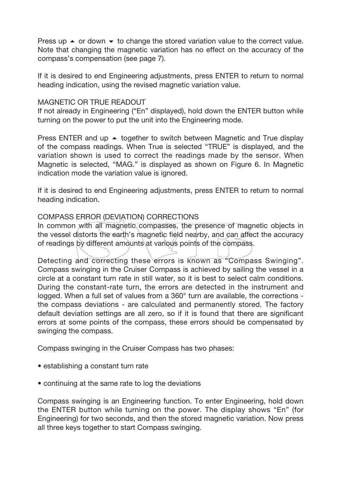Press up  $\blacktriangle$  or down  $\blacktriangledown$  to change the stored variation value to the correct value. Note that changing the magnetic variation has no effect on the accuracy of the compass's compensation (see page 7).

If it is desired to end Engineering adjustments, press ENTER to return to normal heading indication, using the revised magnetic variation value.

#### MAGNETIC OR TRUE READOUT

If not already in Engineering ("En" displayed), hold down the ENTER button while turning on the power to put the unit into the Engineering mode.

Press ENTER and up  $\blacktriangle$  together to switch between Magnetic and True display of the compass readings. When True is selected "TRUE" is displayed, and the variation shown is used to correct the readings made by the sensor. When Magnetic is selected, "MAG." is displayed as shown on Figure 6. In Magnetic indication mode the variation value is ignored.

If it is desired to end Engineering adjustments, press ENTER to return to normal heading indication.

#### COMPASS ERROR (DEVIATION) CORRECTIONS

In common with all magnetic compasses, the presence of magnetic objects in the vessel distorts the earth's magnetic field nearby, and can affect the accuracy of readings by different amounts at various points of the compass.

Detecting and correcting these errors is known as "Compass Swinging". Compass swinging in the Cruiser Compass is achieved by sailing the vessel in a circle at a constant turn rate in still water, so it is best to select calm conditions. During the constant-rate turn, the errors are detected in the instrument and logged. When a full set of values from a 360° turn are available, the corrections the compass deviations - are calculated and permanently stored. The factory default deviation settings are all zero, so if it is found that there are significant errors at some points of the compass, these errors should be compensated by swinging the compass.

Compass swinging in the Cruiser Compass has two phases:

- establishing a constant turn rate
- continuing at the same rate to log the deviations

Compass swinging is an Engineering function. To enter Engineering, hold down the ENTER button while turning on the power. The display shows "En" (for Engineering) for two seconds, and then the stored magnetic variation. Now press all three keys together to start Compass swinging.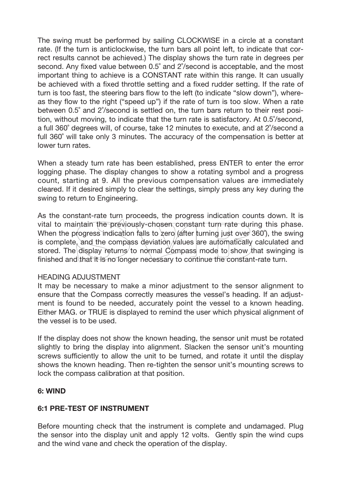The swing must be performed by sailing CLOCKWISE in a circle at a constant rate. (If the turn is anticlockwise, the turn bars all point left, to indicate that correct results cannot be achieved.) The display shows the turn rate in degrees per second. Any fixed value between 0.5˚ and 2˚/second is acceptable, and the most important thing to achieve is a CONSTANT rate within this range. It can usually be achieved with a fixed throttle setting and a fixed rudder setting. If the rate of turn is too fast, the steering bars flow to the left (to indicate "slow down"), whereas they flow to the right ("speed up") if the rate of turn is too slow. When a rate between 0.5˚ and 2˚/second is settled on, the turn bars return to their rest position, without moving, to indicate that the turn rate is satisfactory. At 0.5˚/second, a full 360˚ degrees will, of course, take 12 minutes to execute, and at 2˚/second a full 360˚ will take only 3 minutes. The accuracy of the compensation is better at lower turn rates.

When a steady turn rate has been established, press ENTER to enter the error logging phase. The display changes to show a rotating symbol and a progress count, starting at 9. All the previous compensation values are immediately cleared. If it desired simply to clear the settings, simply press any key during the swing to return to Engineering.

As the constant-rate turn proceeds, the progress indication counts down. It is vital to maintain the previously-chosen constant turn rate during this phase. When the progress indication falls to zero (after turning just over 360°), the swing is complete, and the compass deviation  $\hat{y}$ alues are automatically calculated and stored. The display returns to normal Compass mode to show that swinging is finished and that it is no longer necessary to continue the constant-rate turn.

#### HEADING ADJUSTMENT

It may be necessary to make a minor adjustment to the sensor alignment to ensure that the Compass correctly measures the vessel's heading. If an adjustment is found to be needed, accurately point the vessel to a known heading. Either MAG. or TRUE is displayed to remind the user which physical alignment of the vessel is to be used.

If the display does not show the known heading, the sensor unit must be rotated slightly to bring the display into alignment. Slacken the sensor unit's mounting screws sufficiently to allow the unit to be turned, and rotate it until the display shows the known heading. Then re-tighten the sensor unit's mounting screws to lock the compass calibration at that position.

## **6: WIND**

## **6:1 PRE-TEST OF INSTRUMENT**

Before mounting check that the instrument is complete and undamaged. Plug the sensor into the display unit and apply 12 volts. Gently spin the wind cups and the wind vane and check the operation of the display.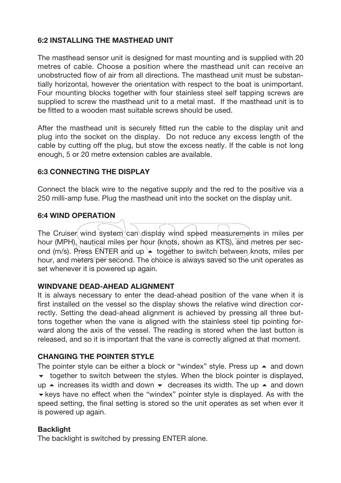## **6:2 INSTALLING THE MASTHEAD UNIT**

The masthead sensor unit is designed for mast mounting and is supplied with 20 metres of cable. Choose a position where the masthead unit can receive an unobstructed flow of air from all directions. The masthead unit must be substantially horizontal, however the orientation with respect to the boat is unimportant. Four mounting blocks together with four stainless steel self tapping screws are supplied to screw the masthead unit to a metal mast. If the masthead unit is to be fitted to a wooden mast suitable screws should be used.

After the masthead unit is securely fitted run the cable to the display unit and plug into the socket on the display. Do not reduce any excess length of the cable by cutting off the plug, but stow the excess neatly. If the cable is not long enough, 5 or 20 metre extension cables are available.

## **6:3 CONNECTING THE DISPLAY**

Connect the black wire to the negative supply and the red to the positive via a 250 milli-amp fuse. Plug the masthead unit into the socket on the display unit.

#### **6:4 WIND OPERATION**

The Cruiser wind system can display wind speed measurements in miles per hour (MPH), hautical miles per hour (knots, shown as KTS), and metres per second (m/s). Press ENTER and up  $\leftarrow$  together to switch between knots, miles per hour, and meters per second. The choice is always saved so the unit operates as set whenever it is powered up again.

#### **WINDVANE DEAD-AHEAD ALIGNMENT**

It is always necessary to enter the dead-ahead position of the vane when it is first installed on the vessel so the display shows the relative wind direction correctly. Setting the dead-ahead alignment is achieved by pressing all three buttons together when the vane is aligned with the stainless steel tip pointing forward along the axis of the vessel. The reading is stored when the last button is released, and so it is important that the vane is correctly aligned at that moment.

#### **CHANGING THE POINTER STYLE**

The pointer style can be either a block or "windex" style. Press up  $\blacktriangle$  and down  $\bullet$  together to switch between the styles. When the block pointer is displayed, up  $\blacktriangle$  increases its width and down  $\blacktriangledown$  decreases its width. The up  $\blacktriangle$  and down  $\blacktriangleright$  keys have no effect when the "windex" pointer style is displayed. As with the speed setting, the final setting is stored so the unit operates as set when ever it is powered up again.

#### **Backlight**

The backlight is switched by pressing ENTER alone.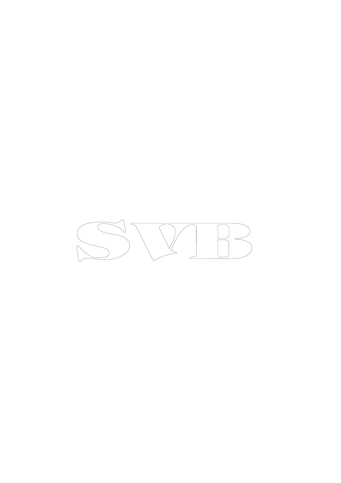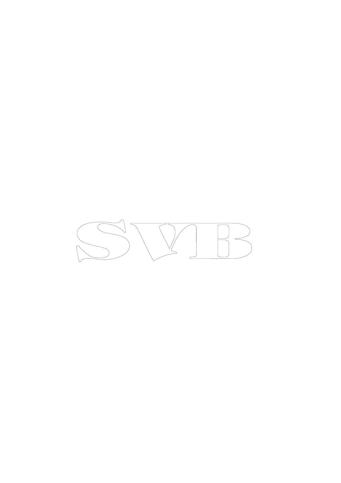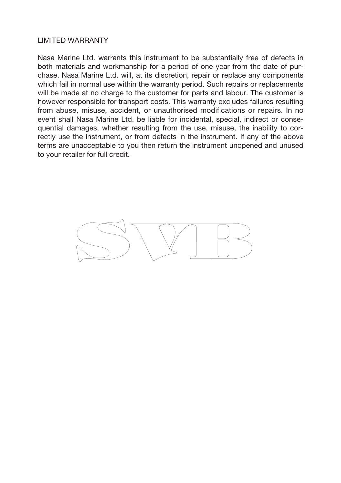#### LIMITED WARRANTY

Nasa Marine Ltd. warrants this instrument to be substantially free of defects in both materials and workmanship for a period of one year from the date of purchase. Nasa Marine Ltd. will, at its discretion, repair or replace any components which fail in normal use within the warranty period. Such repairs or replacements will be made at no charge to the customer for parts and labour. The customer is however responsible for transport costs. This warranty excludes failures resulting from abuse, misuse, accident, or unauthorised modifications or repairs. In no event shall Nasa Marine Ltd. be liable for incidental, special, indirect or consequential damages, whether resulting from the use, misuse, the inability to correctly use the instrument, or from defects in the instrument. If any of the above terms are unacceptable to you then return the instrument unopened and unused to your retailer for full credit.